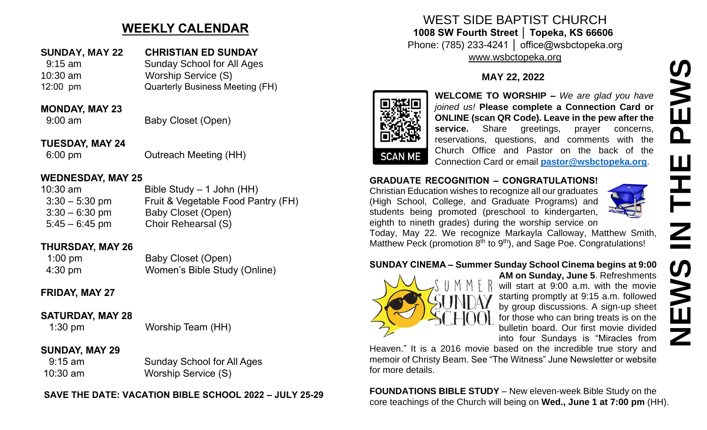## **WEEKLY CALENDAR**

### **SUNDAY, MAY 22 CHRISTIAN ED SUNDAY**

 9:15 am Sunday School for All Ages 10:30 am Worship Service (S) 12:00 pm Quarterly Business Meeting (FH)

#### **MONDAY, MAY 23**

9:00 am Baby Closet (Open)

#### **TUESDAY, MAY 24**

6:00 pm Outreach Meeting (HH)

#### **WEDNESDAY, MAY 25**

| $10:30$ am       | Bible Study $-$ 1 John (HH)        |
|------------------|------------------------------------|
| $3:30 - 5:30$ pm | Fruit & Vegetable Food Pantry (FH) |
| $3:30 - 6:30$ pm | Baby Closet (Open)                 |
| $5:45 - 6:45$ pm | Choir Rehearsal (S)                |

#### **THURSDAY, MAY 26**

| $1:00 \text{ pm}$ | Baby Closet (Open)           |
|-------------------|------------------------------|
| $4:30 \text{ pm}$ | Women's Bible Study (Online) |

### **FRIDAY, MAY 27**

### **SATURDAY, MAY 28**

1:30 pm Worship Team (HH)

### **SUNDAY, MAY 29**

 9:15 am Sunday School for All Ages 10:30 am Worship Service (S)

**SAVE THE DATE: VACATION BIBLE SCHOOL 2022 – JULY 25-29**

#### WEST SIDE BAPTIST CHURCH **1008 SW Fourth Street │ Topeka, KS 66606** Phone: (785) 233-4241 │ office@wsbctopeka.org [www.wsbctopeka.org](http://www.wsbctopeka.org/)

### **MAY 22, 2022**



**WELCOME TO WORSHIP –** *We are glad you have joined us!* **Please complete a Connection Card or ONLINE (scan QR Code). Leave in the pew after the**  service. Share greetings, prayer concerns, reservations, questions, and comments with the Church Office and Pastor on the back of the Connection Card or email **[pastor@wsbctopeka.org](mailto:pastor@wsbctopeka.org)**.

#### **GRADUATE RECOGNITION – CONGRATULATIONS!**

Christian Education wishes to recognize all our graduates (High School, College, and Graduate Programs) and students being promoted (preschool to kindergarten, eighth to nineth grades) during the worship service on



Today, May 22. We recognize Markayla Calloway, Matthew Smith, Matthew Peck (promotion  $8<sup>th</sup>$  to  $9<sup>th</sup>$ ), and Sage Poe. Congratulations!

### **SUNDAY CINEMA – Summer Sunday School Cinema begins at 9:00**



**AM on Sunday, June 5**. Refreshments will start at 9:00 a.m. with the movie starting promptly at 9:15 a.m. followed by group discussions. A sign-up sheet for those who can bring treats is on the bulletin board. Our first movie divided into four Sundays is "Miracles from

Heaven." It is a 2016 movie based on the incredible true story and memoir of Christy Beam. See "The Witness" June Newsletter or website for more details.

**FOUNDATIONS BIBLE STUDY** – New eleven-week Bible Study on the core teachings of the Church will being on **Wed., June 1 at 7:00 pm** (HH).

**NEWS IN THE PEWS**EWS  $\mathbf{\Omega}$ Ш  $\overline{\underline{z}}$ **SWEN**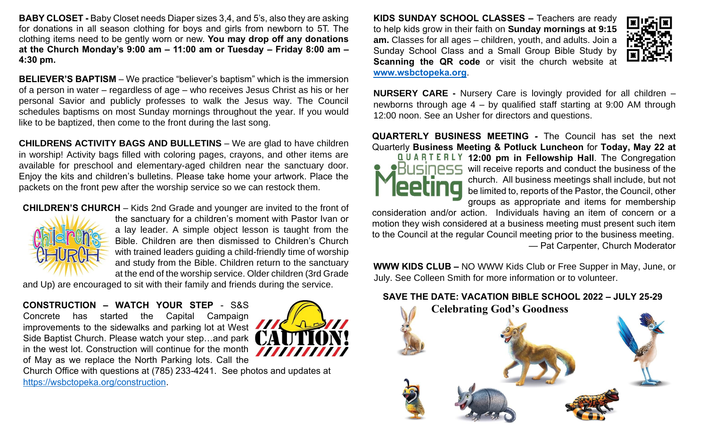**BABY CLOSET -** Baby Closet needs Diaper sizes 3,4, and 5's, also they are asking for donations in all season clothing for boys and girls from newborn to 5T. The clothing items need to be gently worn or new. **You may drop off any donations at the Church Monday's 9:00 am – 11:00 am or Tuesday – Friday 8:00 am – 4:30 pm.** 

**BELIEVER'S BAPTISM** – We practice "believer's baptism" which is the immersion of a person in water – regardless of age – who receives Jesus Christ as his or her personal Savior and publicly professes to walk the Jesus way. The Council schedules baptisms on most Sunday mornings throughout the year. If you would like to be baptized, then come to the front during the last song.

**CHILDRENS ACTIVITY BAGS AND BULLETINS** – We are glad to have children in worship! Activity bags filled with coloring pages, crayons, and other items are available for preschool and elementary-aged children near the sanctuary door. Enjoy the kits and children's bulletins. Please take home your artwork. Place the packets on the front pew after the worship service so we can restock them.

**CHILDREN'S CHURCH** – Kids 2nd Grade and younger are invited to the front of



the sanctuary for a children's moment with Pastor Ivan or a lay leader. A simple object lesson is taught from the Bible. Children are then dismissed to Children's Church with trained leaders guiding a child-friendly time of worship and study from the Bible. Children return to the sanctuary at the end of the worship service. Older children (3rd Grade

and Up) are encouraged to sit with their family and friends during the service.

**CONSTRUCTION – WATCH YOUR STEP** - S&S Concrete has started the Capital Campaign improvements to the sidewalks and parking lot at West Side Baptist Church. Please watch your step…and park in the west lot. Construction will continue for the month of May as we replace the North Parking lots. Call the



Church Office with questions at (785) 233-4241. See photos and updates at [https://wsbctopeka.org/construction.](https://wsbctopeka.org/construction)

**KIDS SUNDAY SCHOOL CLASSES –** Teachers are ready to help kids grow in their faith on **Sunday mornings at 9:15 am.** Classes for all ages – children, youth, and adults. Join a Sunday School Class and a Small Group Bible Study by **Scanning the QR code** or visit the church website at **[www.wsbctopeka.org](http://www.wsbctopeka.org/)**.



**NURSERY CARE -** Nursery Care is lovingly provided for all children – newborns through age 4 – by qualified staff starting at 9:00 AM through 12:00 noon. See an Usher for directors and questions.

**QUARTERLY BUSINESS MEETING** *-* The Council has set the next Quarterly **Business Meeting & Potluck Luncheon** for **Today, May 22 at** 



**12:00 pm in Fellowship Hall**. The Congregation **PHI ISIDESS** will receive reports and conduct the business of the church. All business meetings shall include, but not be limited to, reports of the Pastor, the Council, other groups as appropriate and items for membership

consideration and/or action. Individuals having an item of concern or a motion they wish considered at a business meeting must present such item to the Council at the regular Council meeting prior to the business meeting. — Pat Carpenter, Church Moderator

**WWW KIDS CLUB –** NO WWW Kids Club or Free Supper in May, June, or July. See Colleen Smith for more information or to volunteer.